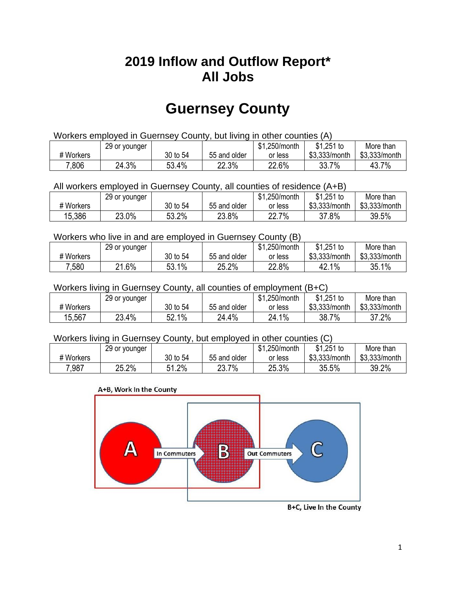## **2019 Inflow and Outflow Report\* All Jobs**

# **Guernsey County**

| Workers employed in Guernsey County, but living in other counties (A) |                                                            |          |              |         |               |               |  |  |  |
|-----------------------------------------------------------------------|------------------------------------------------------------|----------|--------------|---------|---------------|---------------|--|--|--|
|                                                                       | $$1,251$ to<br>\$1.250/month<br>More than<br>29 or younger |          |              |         |               |               |  |  |  |
| # Workers                                                             |                                                            | 30 to 54 | 55 and older | or less | \$3.333/month | \$3.333/month |  |  |  |
| 7,806                                                                 | 24.3%                                                      | 53.4%    | 22.3%        | 22.6%   | 33.7%         | 43.7%         |  |  |  |

All workers employed in Guernsey County, all counties of residence (A+B)

|           | 29 or younger |          |              | \$1,250/month | \$1,251 to    | More than     |
|-----------|---------------|----------|--------------|---------------|---------------|---------------|
| # Workers |               | 30 to 54 | 55 and older | or less       | \$3,333/month | \$3,333/month |
| 15,386    | 23.0%         | 53.2%    | 23.8%        | 22.7%         | 37.8%         | 39.5%         |

#### Workers who live in and are employed in Guernsey County (B)

|           | 29 or younger |          |              | \$1,250/month | $$1,251$ to   | More than     |
|-----------|---------------|----------|--------------|---------------|---------------|---------------|
| # Workers |               | 30 to 54 | 55 and older | or less       | \$3,333/month | \$3,333/month |
| 7,580     | 21.6%         | 53.1%    | 25.2%        | 22.8%         | $1\%$<br>42.1 | 35.1%         |

#### Workers living in Guernsey County, all counties of employment (B+C)

|           | 29 or younger |                   |              | \$1,250/month | \$1,251 to    | More than     |
|-----------|---------------|-------------------|--------------|---------------|---------------|---------------|
| # Workers |               | 30 to 54          | 55 and older | or less       | \$3,333/month | \$3,333/month |
| 15,567    | 23.4%         | 1%<br>гη<br>ບ∠. ເ | 24.4%        | $1\%$<br>24.1 | 7%<br>38.7    | 37.2%         |

#### Workers living in Guernsey County, but employed in other counties (C)

|           | 29 or younger |             |              | .250/month<br><b>ሰ</b><br>কা | $$1,251$ to   | More than     |
|-----------|---------------|-------------|--------------|------------------------------|---------------|---------------|
| # Workers |               | 30 to 54    | 55 and older | or less                      | \$3,333/month | \$3,333/month |
| 7,987     | 25.2%         | 1.2%<br>C 4 | 23.7%        | 25.3%                        | 35.5%         | 39.2%         |

#### A+B, Work In the County



B+C, Live In the County